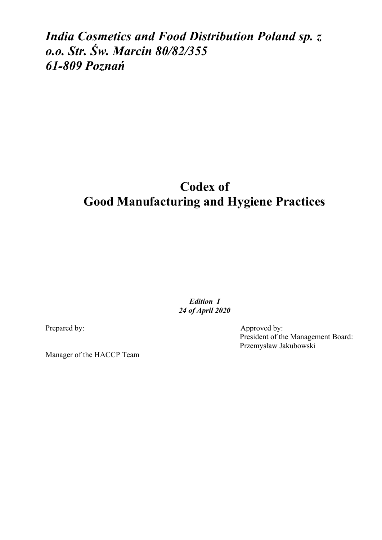*India Cosmetics and Food Distribution Poland sp. z o.o. Str. Św. Marcin 80/82/355 61-809 Poznań*

# **Codex of Good Manufacturing and Hygiene Practices**

*Edition I 24 of April 2020* 

Prepared by: Approved by:

President of the Management Board: Przemysław Jakubowski

Manager of the HACCP Team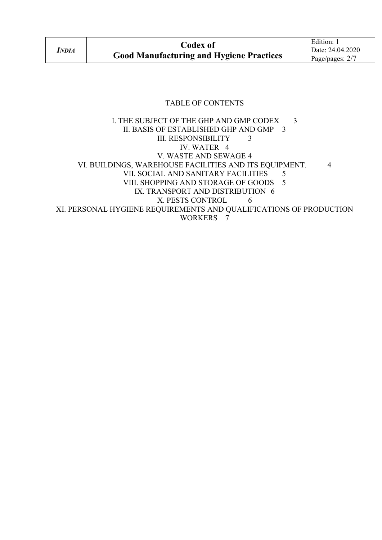#### TABLE OF CONTENTS

I. THE SUBJECT OF THE GHP AND GMP CODEX 3 II. BASIS OF ESTABLISHED GHP AND GMP 3 III. RESPONSIBILITY 3 IV. WATER 4 V. WASTE AND SEWAGE 4 VI. BUILDINGS, WAREHOUSE FACILITIES AND ITS EQUIPMENT. 4 VII. SOCIAL AND SANITARY FACILITIES 5 VIII. SHOPPING AND STORAGE OF GOODS 5 IX. TRANSPORT AND DISTRIBUTION 6 X. PESTS CONTROL 6 XI. PERSONAL HYGIENE REQUIREMENTS AND QUALIFICATIONS OF PRODUCTION WORKERS 7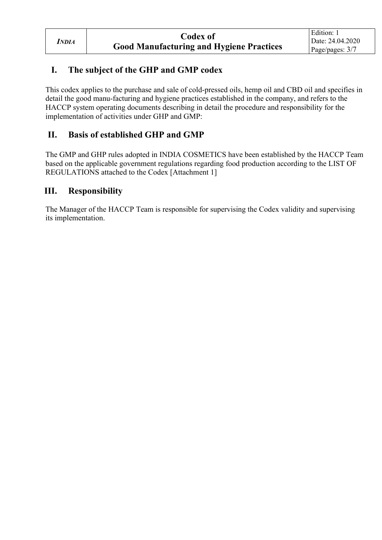## **I. The subject of the GHP and GMP codex**

This codex applies to the purchase and sale of cold-pressed oils, hemp oil and CBD oil and specifies in detail the good manu-facturing and hygiene practices established in the company, and refers to the HACCP system operating documents describing in detail the procedure and responsibility for the implementation of activities under GHP and GMP:

## **II. Basis of established GHP and GMP**

The GMP and GHP rules adopted in INDIA COSMETICS have been established by the HACCP Team based on the applicable government regulations regarding food production according to the LIST OF REGULATIONS attached to the Codex [Attachment 1]

#### **III. Responsibility**

The Manager of the HACCP Team is responsible for supervising the Codex validity and supervising its implementation.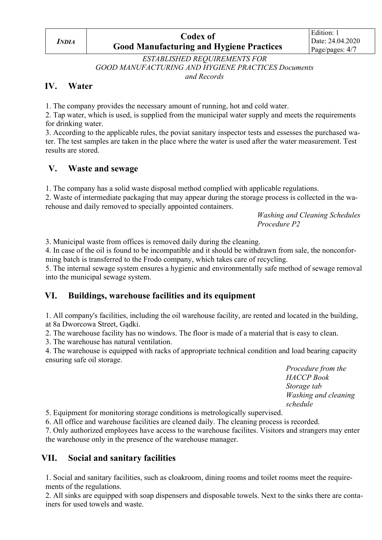# **Codex of Good Manufacturing and Hygiene Practices**

*ESTABLISHED REQUIREMENTS FOR GOOD MANUFACTURING AND HYGIENE PRACTICES Documents and Records* 

#### **IV. Water**

1. The company provides the necessary amount of running, hot and cold water.

2. Tap water, which is used, is supplied from the municipal water supply and meets the requirements for drinking water.

3. According to the applicable rules, the poviat sanitary inspector tests and essesses the purchased water. The test samples are taken in the place where the water is used after the water measurement. Test results are stored.

#### **V. Waste and sewage**

1. The company has a solid waste disposal method complied with applicable regulations.

2. Waste of intermediate packaging that may appear during the storage process is collected in the warehouse and daily removed to specially appointed containers.

> *Washing and Cleaning Schedules Procedure P2*

3. Municipal waste from offices is removed daily during the cleaning.

4. In case of the oil is found to be incompatible and it should be withdrawn from sale, the nonconforming batch is transferred to the Frodo company, which takes care of recycling.

5. The internal sewage system ensures a hygienic and environmentally safe method of sewage removal into the municipal sewage system.

### **VI. Buildings, warehouse facilities and its equipment**

1. All company's facilities, including the oil warehouse facility, are rented and located in the building, at 8a Dworcowa Street, Gądki.

2. The warehouse facility has no windows. The floor is made of a material that is easy to clean.

3. The warehouse has natural ventilation.

4. The warehouse is equipped with racks of appropriate technical condition and load bearing capacity ensuring safe oil storage.

> *Procedure from the HACCP Book Storage tab Washing and cleaning schedule*

5. Equipment for monitoring storage conditions is metrologically supervised.

6. All office and warehouse facilities are cleaned daily. The cleaning process is recorded.

7. Only authorized employees have access to the warehouse facilites. Visitors and strangers may enter the warehouse only in the presence of the warehouse manager.

### **VII. Social and sanitary facilities**

1. Social and sanitary facilities, such as cloakroom, dining rooms and toilet rooms meet the requirements of the regulations.

2. All sinks are equipped with soap dispensers and disposable towels. Next to the sinks there are containers for used towels and waste.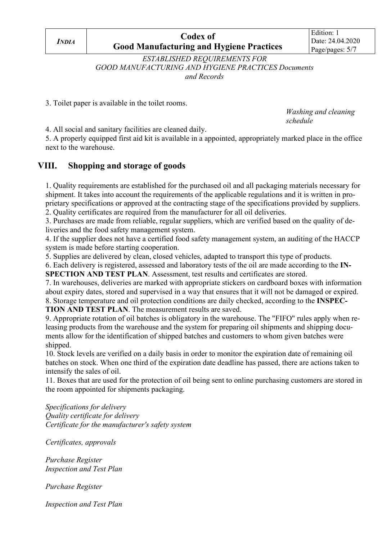*INDIA*

# **Codex of Good Manufacturing and Hygiene Practices**

*ESTABLISHED REQUIREMENTS FOR GOOD MANUFACTURING AND HYGIENE PRACTICES Documents and Records*

3. Toilet paper is available in the toilet rooms.

 *Washing and cleaning schedule schedule* 

4. All social and sanitary facilities are cleaned daily.

5. A properly equipped first aid kit is available in a appointed, appropriately marked place in the office next to the warehouse.

### **VIII. Shopping and storage of goods**

1. Quality requirements are established for the purchased oil and all packaging materials necessary for shipment. It takes into account the requirements of the applicable regulations and it is written in proprietary specifications or approved at the contracting stage of the specifications provided by suppliers. 2. Quality certificates are required from the manufacturer for all oil deliveries.

3. Purchases are made from reliable, regular suppliers, which are verified based on the quality of deliveries and the food safety management system.

4. If the supplier does not have a certified food safety management system, an auditing of the HACCP system is made before starting cooperation.

5. Supplies are delivered by clean, closed vehicles, adapted to transport this type of products.

6. Each delivery is registered, assessed and laboratory tests of the oil are made according to the **IN-SPECTION AND TEST PLAN**. Assessment, test results and certificates are stored.

7. In warehouses, deliveries are marked with appropriate stickers on cardboard boxes with information about expiry dates, stored and supervised in a way that ensures that it will not be damaged or expired. 8. Storage temperature and oil protection conditions are daily checked, according to the **INSPEC-**

**TION AND TEST PLAN**. The measurement results are saved.

9. Appropriate rotation of oil batches is obligatory in the warehouse. The "FIFO" rules apply when releasing products from the warehouse and the system for preparing oil shipments and shipping documents allow for the identification of shipped batches and customers to whom given batches were shipped.

10. Stock levels are verified on a daily basis in order to monitor the expiration date of remaining oil batches on stock. When one third of the expiration date deadline has passed, there are actions taken to intensify the sales of oil.

11. Boxes that are used for the protection of oil being sent to online purchasing customers are stored in the room appointed for shipments packaging.

*Specifications for delivery Quality certificate for delivery Certificate for the manufacturer's safety system*

*Certificates, approvals*

*Purchase Register Inspection and Test Plan*

*Purchase Register*

*Inspection and Test Plan*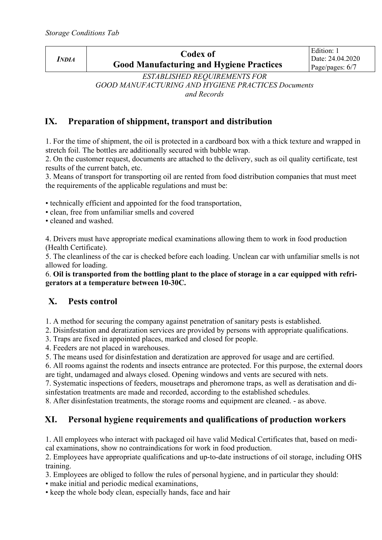| <i>NDIA</i>                         | Codex of<br><b>Good Manufacturing and Hygiene Practices</b> | Edition: 1<br>Date: 24.04.2020<br>Page/pages: $6/7$ |
|-------------------------------------|-------------------------------------------------------------|-----------------------------------------------------|
| <b>ECEUPICIED PEALUPPLEMENT COP</b> |                                                             |                                                     |

*ESTABLISHED REQUIREMENTS FOR GOOD MANUFACTURING AND HYGIENE PRACTICES Documents and Records*

#### **IX. Preparation of shippment, transport and distribution**

1. For the time of shipment, the oil is protected in a cardboard box with a thick texture and wrapped in stretch foil. The bottles are additionally secured with bubble wrap.

2. On the customer request, documents are attached to the delivery, such as oil quality certificate, test results of the current batch, etc.

3. Means of transport for transporting oil are rented from food distribution companies that must meet the requirements of the applicable regulations and must be:

• technically efficient and appointed for the food transportation,

• clean, free from unfamiliar smells and covered

• cleaned and washed.

4. Drivers must have appropriate medical examinations allowing them to work in food production (Health Certificate).

5. The cleanliness of the car is checked before each loading. Unclean car with unfamiliar smells is not allowed for loading.

6. **Oil is transported from the bottling plant to the place of storage in a car equipped with refrigerators at a temperature between 10-30C.**

#### **X. Pests control**

1. A method for securing the company against penetration of sanitary pests is established.

2. Disinfestation and deratization services are provided by persons with appropriate qualifications.

3. Traps are fixed in appointed places, marked and closed for people.

4. Feeders are not placed in warehouses.

5. The means used for disinfestation and deratization are approved for usage and are certified.

6. All rooms against the rodents and insects entrance are protected. For this purpose, the external doors are tight, undamaged and always closed. Opening windows and vents are secured with nets.

7. Systematic inspections of feeders, mousetraps and pheromone traps, as well as deratisation and disinfestation treatments are made and recorded, according to the established schedules.

8. After disinfestation treatments, the storage rooms and equipment are cleaned. - as above.

### **XI. Personal hygiene requirements and qualifications of production workers**

1. All employees who interact with packaged oil have valid Medical Certificates that, based on medical examinations, show no contraindications for work in food production.

2. Employees have appropriate qualifications and up-to-date instructions of oil storage, including OHS training.

3. Employees are obliged to follow the rules of personal hygiene, and in particular they should:

• make initial and periodic medical examinations,

• keep the whole body clean, especially hands, face and hair